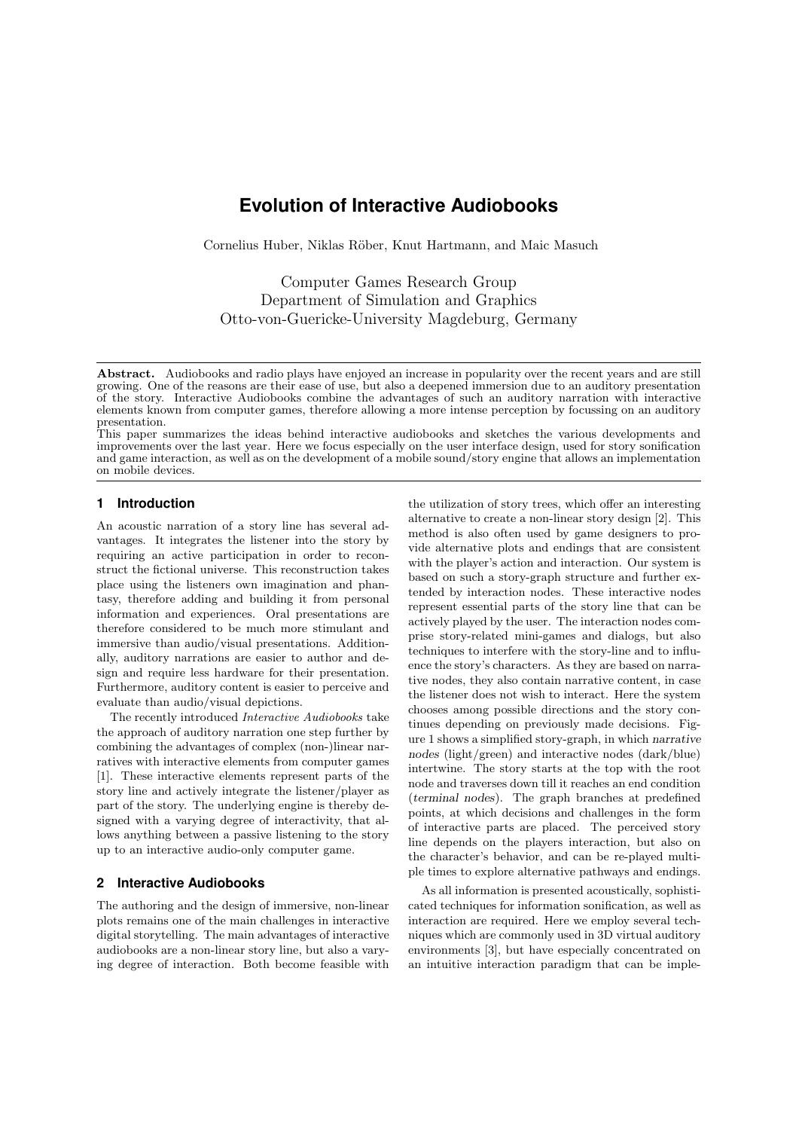# **Evolution of Interactive Audiobooks**

Cornelius Huber, Niklas Röber, Knut Hartmann, and Maic Masuch

Computer Games Research Group Department of Simulation and Graphics Otto-von-Guericke-University Magdeburg, Germany

This paper summarizes the ideas behind interactive audiobooks and sketches the various developments and improvements over the last year. Here we focus especially on the user interface design, used for story sonification and game interaction, as well as on the development of a mobile sound/story engine that allows an implementation on mobile devices.

## **1 Introduction**

An acoustic narration of a story line has several advantages. It integrates the listener into the story by requiring an active participation in order to reconstruct the fictional universe. This reconstruction takes place using the listeners own imagination and phantasy, therefore adding and building it from personal information and experiences. Oral presentations are therefore considered to be much more stimulant and immersive than audio/visual presentations. Additionally, auditory narrations are easier to author and design and require less hardware for their presentation. Furthermore, auditory content is easier to perceive and evaluate than audio/visual depictions.

The recently introduced Interactive Audiobooks take the approach of auditory narration one step further by combining the advantages of complex (non-)linear narratives with interactive elements from computer games [1]. These interactive elements represent parts of the story line and actively integrate the listener/player as part of the story. The underlying engine is thereby designed with a varying degree of interactivity, that allows anything between a passive listening to the story up to an interactive audio-only computer game.

## **2 Interactive Audiobooks**

The authoring and the design of immersive, non-linear plots remains one of the main challenges in interactive digital storytelling. The main advantages of interactive audiobooks are a non-linear story line, but also a varying degree of interaction. Both become feasible with the utilization of story trees, which offer an interesting alternative to create a non-linear story design [2]. This method is also often used by game designers to provide alternative plots and endings that are consistent with the player's action and interaction. Our system is based on such a story-graph structure and further extended by interaction nodes. These interactive nodes represent essential parts of the story line that can be actively played by the user. The interaction nodes comprise story-related mini-games and dialogs, but also techniques to interfere with the story-line and to influence the story's characters. As they are based on narrative nodes, they also contain narrative content, in case the listener does not wish to interact. Here the system chooses among possible directions and the story continues depending on previously made decisions. Figure 1 shows a simplified story-graph, in which narrative nodes (light/green) and interactive nodes (dark/blue) intertwine. The story starts at the top with the root node and traverses down till it reaches an end condition (terminal nodes). The graph branches at predefined points, at which decisions and challenges in the form of interactive parts are placed. The perceived story line depends on the players interaction, but also on the character's behavior, and can be re-played multiple times to explore alternative pathways and endings.

As all information is presented acoustically, sophisticated techniques for information sonification, as well as interaction are required. Here we employ several techniques which are commonly used in 3D virtual auditory environments [3], but have especially concentrated on an intuitive interaction paradigm that can be imple-

Abstract. Audiobooks and radio plays have enjoyed an increase in popularity over the recent years and are still growing. One of the reasons are their ease of use, but also a deepened immersion due to an auditory presentation of the story. Interactive Audiobooks combine the advantages of such an auditory narration with interactive elements known from computer games, therefore allowing a more intense perception by focussing on an auditory presentation.